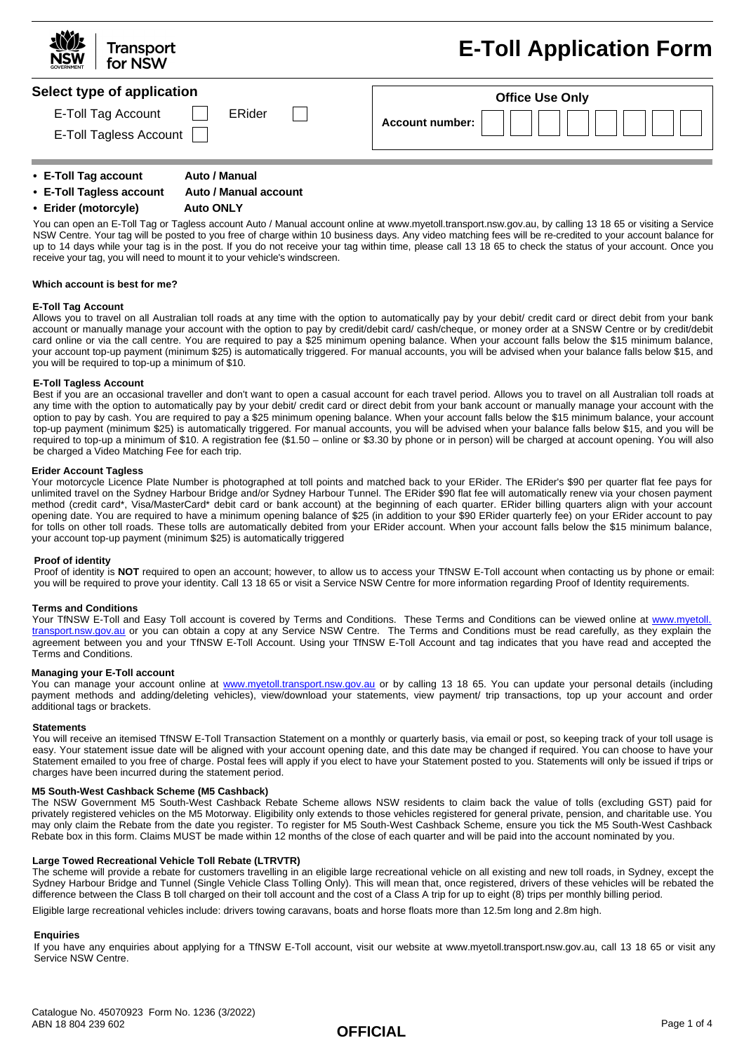| <b>NOW</b><br><b>Transport</b><br>for NSW | <b>E-Toll Application Form</b> |  |
|-------------------------------------------|--------------------------------|--|
| Select type of application                | <b>Office Use Only</b>         |  |
| E-Toll Tag Account<br>ERider              | Account number:                |  |
| E-Toll Tagless Account                    |                                |  |

- **• E-Toll Tag account Auto / Manual**
- **• E-Toll Tagless account Auto / Manual account**

### **• Erider (motorcyle) Auto ONLY**

You can open an E-Toll Tag or Tagless account Auto / Manual account online at www.myetoll.transport.nsw.gov.au, by calling 13 18 65 or visiting a Service NSW Centre. Your tag will be posted to you free of charge within 10 business days. Any video matching fees will be re-credited to your account balance for up to 14 days while your tag is in the post. If you do not receive your tag within time, please call 13 18 65 to check the status of your account. Once you receive your tag, you will need to mount it to your vehicle's windscreen.

### **Which account is best for me?**

### **E-Toll Tag Account**

Allows you to travel on all Australian toll roads at any time with the option to automatically pay by your debit/ credit card or direct debit from your bank account or manually manage your account with the option to pay by credit/debit card/ cash/cheque, or money order at a SNSW Centre or by credit/debit card online or via the call centre. You are required to pay a \$25 minimum opening balance. When your account falls below the \$15 minimum balance, your account top-up payment (minimum \$25) is automatically triggered. For manual accounts, you will be advised when your balance falls below \$15, and you will be required to top-up a minimum of \$10.

### **E-Toll Tagless Account**

Best if you are an occasional traveller and don't want to open a casual account for each travel period. Allows you to travel on all Australian toll roads at any time with the option to automatically pay by your debit/ credit card or direct debit from your bank account or manually manage your account with the option to pay by cash. You are required to pay a \$25 minimum opening balance. When your account falls below the \$15 minimum balance, your account top-up payment (minimum \$25) is automatically triggered. For manual accounts, you will be advised when your balance falls below \$15, and you will be required to top-up a minimum of \$10. A registration fee (\$1.50 – online or \$3.30 by phone or in person) will be charged at account opening. You will also be charged a Video Matching Fee for each trip.

### **Erider Account Tagless**

Your motorcycle Licence Plate Number is photographed at toll points and matched back to your ERider. The ERider's \$90 per quarter flat fee pays for unlimited travel on the Sydney Harbour Bridge and/or Sydney Harbour Tunnel. The ERider \$90 flat fee will automatically renew via your chosen payment method (credit card\*, Visa/MasterCard\* debit card or bank account) at the beginning of each quarter. ERider billing quarters align with your account opening date. You are required to have a minimum opening balance of \$25 (in addition to your \$90 ERider quarterly fee) on your ERider account to pay for tolls on other toll roads. These tolls are automatically debited from your ERider account. When your account falls below the \$15 minimum balance, your account top-up payment (minimum \$25) is automatically triggered

### **Proof of identity**

Proof of identity is **NOT** required to open an account; however, to allow us to access your TfNSW E-Toll account when contacting us by phone or email: you will be required to prove your identity. Call 13 18 65 or visit a Service NSW Centre for more information regarding Proof of Identity requirements.

#### **Terms and Conditions**

Your TfNSW E-Toll and Easy Toll account is covered by Terms and Conditions. These Terms and Conditions can be viewed online at [www.myetoll.](www.myetoll.transport.nsw.gov.au) [transport.nsw.gov.au](www.myetoll.transport.nsw.gov.au) or you can obtain a copy at any Service NSW Centre. The Terms and Conditions must be read carefully, as they explain the agreement between you and your TfNSW E-Toll Account. Using your TfNSW E-Toll Account and tag indicates that you have read and accepted the Terms and Conditions.

#### **Managing your E-Toll account**

You can manage your account online at <www.myetoll.transport.nsw.gov.au> or by calling 13 18 65. You can update your personal details (including payment methods and adding/deleting vehicles), view/download your statements, view payment/ trip transactions, top up your account and order additional tags or brackets.

#### **Statements**

You will receive an itemised TfNSW E-Toll Transaction Statement on a monthly or quarterly basis, via email or post, so keeping track of your toll usage is easy. Your statement issue date will be aligned with your account opening date, and this date may be changed if required. You can choose to have your Statement emailed to you free of charge. Postal fees will apply if you elect to have your Statement posted to you. Statements will only be issued if trips or charges have been incurred during the statement period.

#### **M5 South-West Cashback Scheme (M5 Cashback)**

The NSW Government M5 South-West Cashback Rebate Scheme allows NSW residents to claim back the value of tolls (excluding GST) paid for privately registered vehicles on the M5 Motorway. Eligibility only extends to those vehicles registered for general private, pension, and charitable use. You may only claim the Rebate from the date you register. To register for M5 South-West Cashback Scheme, ensure you tick the M5 South-West Cashback Rebate box in this form. Claims MUST be made within 12 months of the close of each quarter and will be paid into the account nominated by you.

#### **Large Towed Recreational Vehicle Toll Rebate (LTRVTR)**

The scheme will provide a rebate for customers travelling in an eligible large recreational vehicle on all existing and new toll roads, in Sydney, except the Sydney Harbour Bridge and Tunnel (Single Vehicle Class Tolling Only). This will mean that, once registered, drivers of these vehicles will be rebated the difference between the Class B toll charged on their toll account and the cost of a Class A trip for up to eight (8) trips per monthly billing period.

Eligible large recreational vehicles include: drivers towing caravans, boats and horse floats more than 12.5m long and 2.8m high.

### **Enquiries**

If you have any enquiries about applying for a TfNSW E-Toll account, visit our website at www.myetoll.transport.nsw.gov.au, call 13 18 65 or visit any Service NSW Centre.

**OFFICIAL**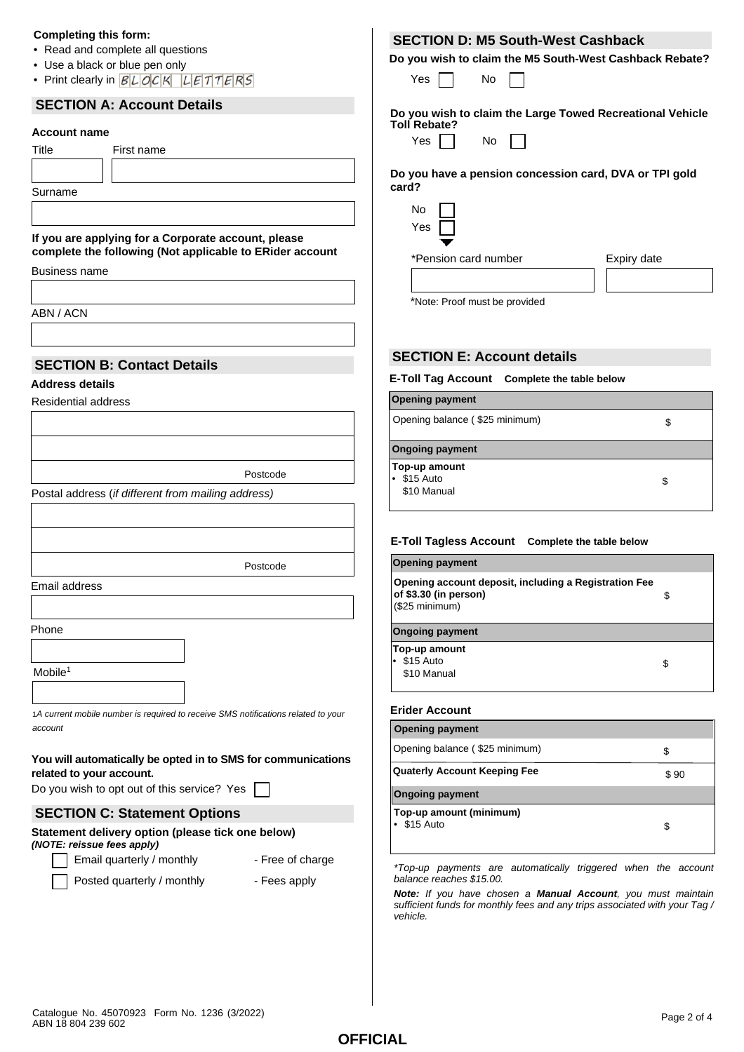## **Completing this form:**

- Read and complete all questions
- Use a black or blue pen only
- Print clearly in  $BLDCK$   $LETTERS$

# **SECTION A: Account Details**

# **Account name**

| .       |            |  |
|---------|------------|--|
| Title   | First name |  |
|         |            |  |
| Surname |            |  |
|         |            |  |
|         |            |  |

**If you are applying for a Corporate account, please complete the following (Not applicable to ERider account**

Business name

ABN / ACN

# **SECTION B: Contact Details**

## **Address details**

Residential address

Postcode

Postcode

Postal address (*if different from mailing address)*

Email address

Phone

Mobile<sup>1</sup>

1*A current mobile number is required to receive SMS notifications related to your account*

## **You will automatically be opted in to SMS for communications related to your account.**

Do you wish to opt out of this service? Yes  $\Box$ 

## **SECTION C: Statement Options**

### **Statement delivery option (please tick one below)**  *(NOTE: reissue fees apply)*

Email quarterly / monthly Free of charge

Posted quarterly / monthly - Fees apply

- 
- 

# **SECTION D: M5 South-West Cashback**

**Do you wish to claim the M5 South-West Cashback Rebate?**

| ٦.<br>ΑS |  | N٥ |  |
|----------|--|----|--|
|----------|--|----|--|

**Do you wish to claim the Large Towed Recreational Vehicle Toll Rebate?**

|  | ×<br>۰,<br>۰.<br>× |  |
|--|--------------------|--|
|  |                    |  |

No

**Do you have a pension concession card, DVA or TPI gold card?**

| Expiry date |
|-------------|
|             |

\*Note: Proof must be provided

# **SECTION E: Account details**

## **E-Toll Tag Account Complete the table below**

| <b>Opening payment</b>                            |   |
|---------------------------------------------------|---|
| Opening balance (\$25 minimum)                    | S |
| <b>Ongoing payment</b>                            |   |
| Top-up amount<br>$\cdot$ \$15 Auto<br>\$10 Manual | S |
|                                                   |   |

## **E-Toll Tagless Account Complete the table below**

| <b>Opening payment</b>                                                                                 |    |  |
|--------------------------------------------------------------------------------------------------------|----|--|
| Opening account deposit, including a Registration Fee<br>of \$3.30 (in person)<br>\$<br>(\$25 minimum) |    |  |
| <b>Ongoing payment</b>                                                                                 |    |  |
| Top-up amount<br>• \$15 Auto<br>\$10 Manual                                                            | \$ |  |

## **Erider Account**

| <b>Opening payment</b>                      |    |  |
|---------------------------------------------|----|--|
| Opening balance (\$25 minimum)              | \$ |  |
| <b>Quaterly Account Keeping Fee</b><br>\$90 |    |  |
| <b>Ongoing payment</b>                      |    |  |
| Top-up amount (minimum)<br>\$15 Auto        | S  |  |

*\*Top-up payments are automatically triggered when the account balance reaches \$15.00.* 

*Note: If you have chosen a Manual Account, you must maintain sufficient funds for monthly fees and any trips associated with your Tag / vehicle.*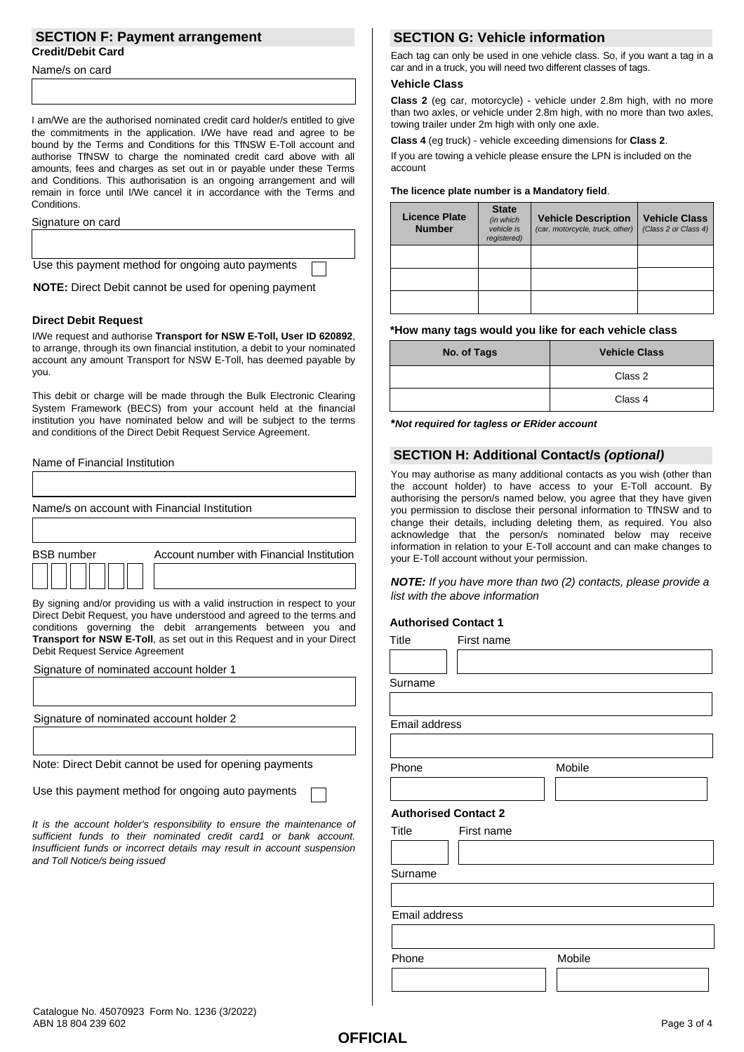## **SECTION F: Payment arrangement Credit/Debit Card**

Name/s on card

I am/We are the authorised nominated credit card holder/s entitled to give the commitments in the application. I/We have read and agree to be bound by the Terms and Conditions for this TfNSW E-Toll account and authorise TfNSW to charge the nominated credit card above with all amounts, fees and charges as set out in or payable under these Terms and Conditions. This authorisation is an ongoing arrangement and will remain in force until I/We cancel it in accordance with the Terms and Conditions.

### Signature on card

Use this payment method for ongoing auto payments

**NOTE:** Direct Debit cannot be used for opening payment

## **Direct Debit Request**

I/We request and authorise **Transport for NSW E-Toll, User ID 620892**, to arrange, through its own financial institution, a debit to your nominated account any amount Transport for NSW E-Toll, has deemed payable by you.

This debit or charge will be made through the Bulk Electronic Clearing System Framework (BECS) from your account held at the financial institution you have nominated below and will be subject to the terms and conditions of the Direct Debit Request Service Agreement.

## Name of Financial Institution

| Name/s on account with Financial Institution                                                                                                                                                                       |  |  |  |
|--------------------------------------------------------------------------------------------------------------------------------------------------------------------------------------------------------------------|--|--|--|
|                                                                                                                                                                                                                    |  |  |  |
| <b>BSB</b> number<br>Account number with Financial Institution                                                                                                                                                     |  |  |  |
|                                                                                                                                                                                                                    |  |  |  |
| By signing and/or providing us with a valid instruction in respect to your<br>Direct Debit Request, you have understood and agreed to the terms and<br>conditions governing the debit arrangements between you and |  |  |  |

contains debit arrangements between **Transport for NSW E-Toll**, as set out in this Request and in your Direct Debit Request Service Agreement

Signature of nominated account holder 1

Signature of nominated account holder 2

Note: Direct Debit cannot be used for opening payments

Use this payment method for ongoing auto payments

*It is the account holder's responsibility to ensure the maintenance of sufficient funds to their nominated credit card1 or bank account. Insufficient funds or incorrect details may result in account suspension and Toll Notice/s being issued*

# **SECTION G: Vehicle information**

Each tag can only be used in one vehicle class. So, if you want a tag in a car and in a truck, you will need two different classes of tags.

### **Vehicle Class**

**Class 2** (eg car, motorcycle) - vehicle under 2.8m high, with no more than two axles, or vehicle under 2.8m high, with no more than two axles, towing trailer under 2m high with only one axle.

**Class 4** (eg truck) - vehicle exceeding dimensions for **Class 2**.

If you are towing a vehicle please ensure the LPN is included on the account

### **The licence plate number is a Mandatory field**.

| Licence Plate<br><b>Number</b> | <b>State</b><br>(in which<br>vehicle is<br>registered) | <b>Vehicle Description</b><br>(car, motorcycle, truck, other) | <b>Vehicle Class</b><br>(Class 2 or Class 4) |
|--------------------------------|--------------------------------------------------------|---------------------------------------------------------------|----------------------------------------------|
|                                |                                                        |                                                               |                                              |
|                                |                                                        |                                                               |                                              |
|                                |                                                        |                                                               |                                              |

### **\*How many tags would you like for each vehicle class**

| No. of Tags | <b>Vehicle Class</b> |
|-------------|----------------------|
|             | Class 2              |
|             | Class 4              |

**\****Not required for tagless or ERider account*

## **SECTION H: Additional Contact/s** *(optional)*

You may authorise as many additional contacts as you wish (other than the account holder) to have access to your E-Toll account. By authorising the person/s named below, you agree that they have given you permission to disclose their personal information to TfNSW and to change their details, including deleting them, as required. You also acknowledge that the person/s nominated below may receive information in relation to your E-Toll account and can make changes to your E-Toll account without your permission.

*NOTE: If you have more than two (2) contacts, please provide a list with the above information*

## **Authorised Contact 1**

| <b>Title</b>                | First name |        |
|-----------------------------|------------|--------|
|                             |            |        |
| Surname                     |            |        |
|                             |            |        |
| Email address               |            |        |
|                             |            |        |
| Phone                       |            | Mobile |
|                             |            |        |
| <b>Authorised Contact 2</b> |            |        |
| Title                       | First name |        |
|                             |            |        |
| Surname                     |            |        |
|                             |            |        |
| Email address               |            |        |
|                             |            |        |
| Phone                       |            | Mobile |
|                             |            |        |